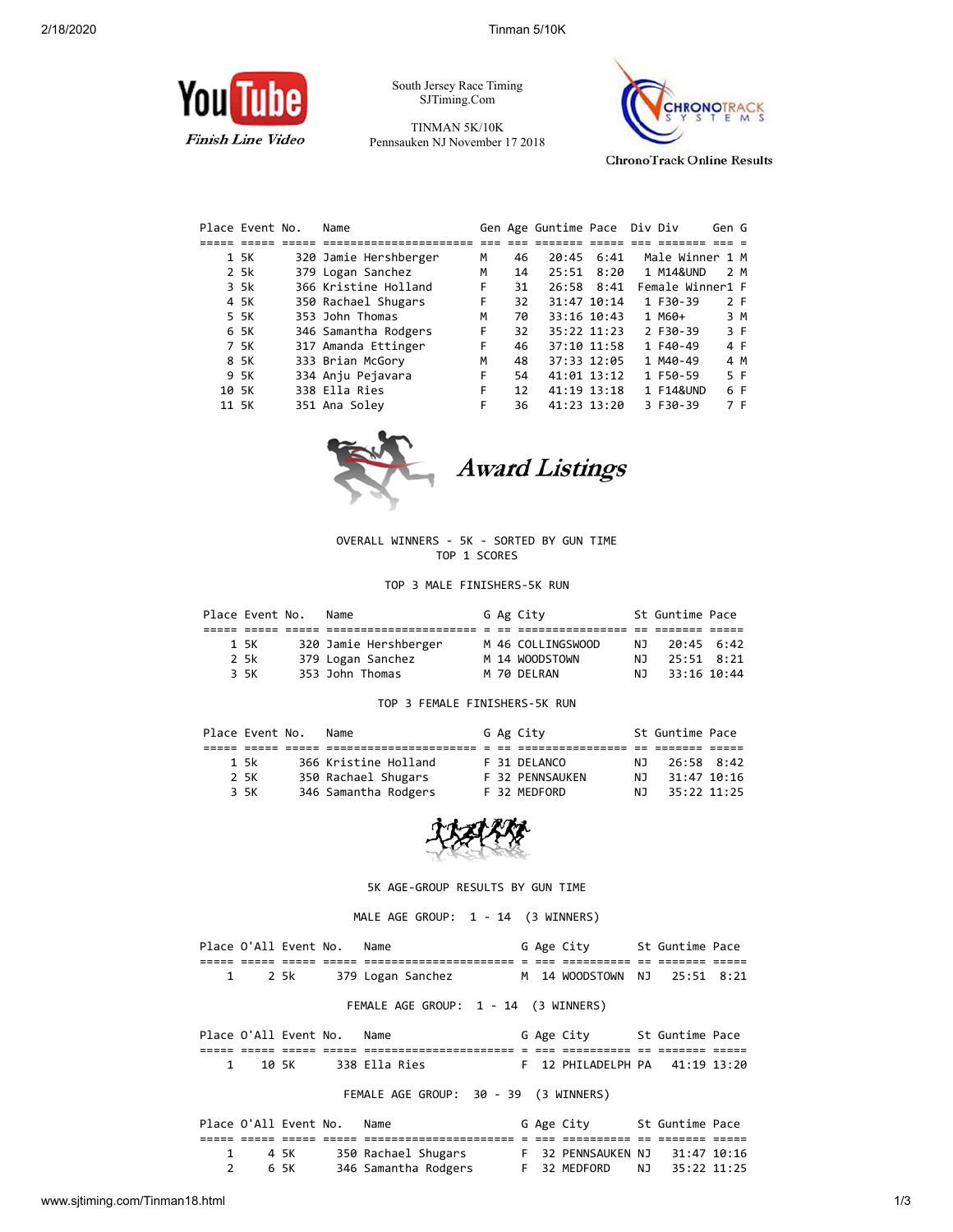

South Jersey Race Timing SJTiming.Com

TINMAN 5K/10K Pennsauken NJ November 17 2018



**ChronoTrack Online Results** 

| Place Event No. |      | Name                  |   |    | Gen Age Guntime Pace Div Div |              |                  | Gen G |     |
|-----------------|------|-----------------------|---|----|------------------------------|--------------|------------------|-------|-----|
|                 |      |                       |   |    |                              |              |                  |       |     |
|                 | 1 5K | 320 Jamie Hershberger | м | 46 |                              | $20:45$ 6:41 | Male Winner 1 M  |       |     |
|                 | 2 5k | 379 Logan Sanchez     | М | 14 | 25:51                        | 8:20         | 1 M14&UND        | 2 M   |     |
|                 | 3 5k | 366 Kristine Holland  | F | 31 |                              | 26:58 8:41   | Female Winner1 F |       |     |
|                 | 4 5K | 350 Rachael Shugars   | F | 32 | 31:47 10:14                  |              | 1 F30-39         | 2 F   |     |
|                 | 5 5K | 353 John Thomas       | M | 70 | 33:16 10:43                  |              | $1$ M60+         |       | 3 M |
|                 | 6 5K | 346 Samantha Rodgers  | F | 32 | 35:22 11:23                  |              | 2 F30-39         | 3 F   |     |
|                 | 7 5K | 317 Amanda Ettinger   | F | 46 | 37:10 11:58                  |              | 1 F40-49         | 4 F   |     |
|                 | 8 5K | 333 Brian McGory      | м | 48 | 37:33 12:05                  |              | 1 M40-49         | 4 M   |     |
|                 | 9 5K | 334 Anju Pejavara     | F | 54 | $41:01$ $13:12$              |              | 1 F50-59         | 5 F   |     |
| 10 5K           |      | 338 Ella Ries         | F | 12 | 41:19 13:18                  |              | 1 F14&UND        | 6 F   |     |
| 11 5K           |      | 351 Ana Soley         | F | 36 | 41:23 13:20                  |              | 3 F30-39         | 7 F   |     |



**Award Listings** 

OVERALL WINNERS - 5K - SORTED BY GUN TIME TOP 1 SCORES

TOP 3 MALE FINISHERS-5K RUN

| Place Event No. |      | Name                  |  | G Ag City         |     | St Guntime Pace |  |
|-----------------|------|-----------------------|--|-------------------|-----|-----------------|--|
|                 |      |                       |  |                   |     |                 |  |
|                 | 1 5K | 320 Jamie Hershberger |  | M 46 COLLINGSWOOD | NJ. | 20:45 6:42      |  |
|                 | 2 5k | 379 Logan Sanchez     |  | M 14 WOODSTOWN    | NJ. | 25:51 8:21      |  |
|                 | 3 5K | 353 John Thomas       |  | M 70 DELRAN       | NJ. | 33:16 10:44     |  |

### TOP 3 FEMALE FINISHERS-5K RUN

| Place Event No. |      | Name                 |  | G Ag City       |     | St Guntime Pace |  |
|-----------------|------|----------------------|--|-----------------|-----|-----------------|--|
|                 |      |                      |  |                 |     |                 |  |
|                 | 1 5k | 366 Kristine Holland |  | F 31 DELANCO    | NJ. | 26:58 8:42      |  |
|                 | 2 5K | 350 Rachael Shugars  |  | F 32 PENNSAUKEN | N T | 31:47 10:16     |  |
|                 | 3 5K | 346 Samantha Rodgers |  | F 32 MEDFORD    | N J | 35:22 11:25     |  |
|                 |      |                      |  |                 |     |                 |  |



5K AGE-GROUP RESULTS BY GUN TIME

MALE AGE GROUP: 1 - 14 (3 WINNERS)

Place O'All Event No. Name G Age City St Guntime Pace ===== ===== ===== ===== ====================== = === ========== == ======= ===== M 14 WOODSTOWN NJ 25:51 8:21 FEMALE AGE GROUP: 1 - 14 (3 WINNERS) Place O'All Event No. Name G Age City St Guntime Pace ===== ===== ===== ===== ====================== = === ========== == ======= ===== 1 10 5K 338 Ella Ries F 12 PHILADELPH PA 41:19 13:20 FEMALE AGE GROUP: 30 - 39 (3 WINNERS)

|  | Place O'All Event No. | Name                 |  | G Age City         | St Guntime Pace |  |
|--|-----------------------|----------------------|--|--------------------|-----------------|--|
|  |                       |                      |  |                    |                 |  |
|  | 45K                   | 350 Rachael Shugars  |  | F 32 PENNSAUKEN NJ | 31:47 10:16     |  |
|  | 65K                   | 346 Samantha Rodgers |  | F 32 MEDFORD       | NJ 35:22 11:25  |  |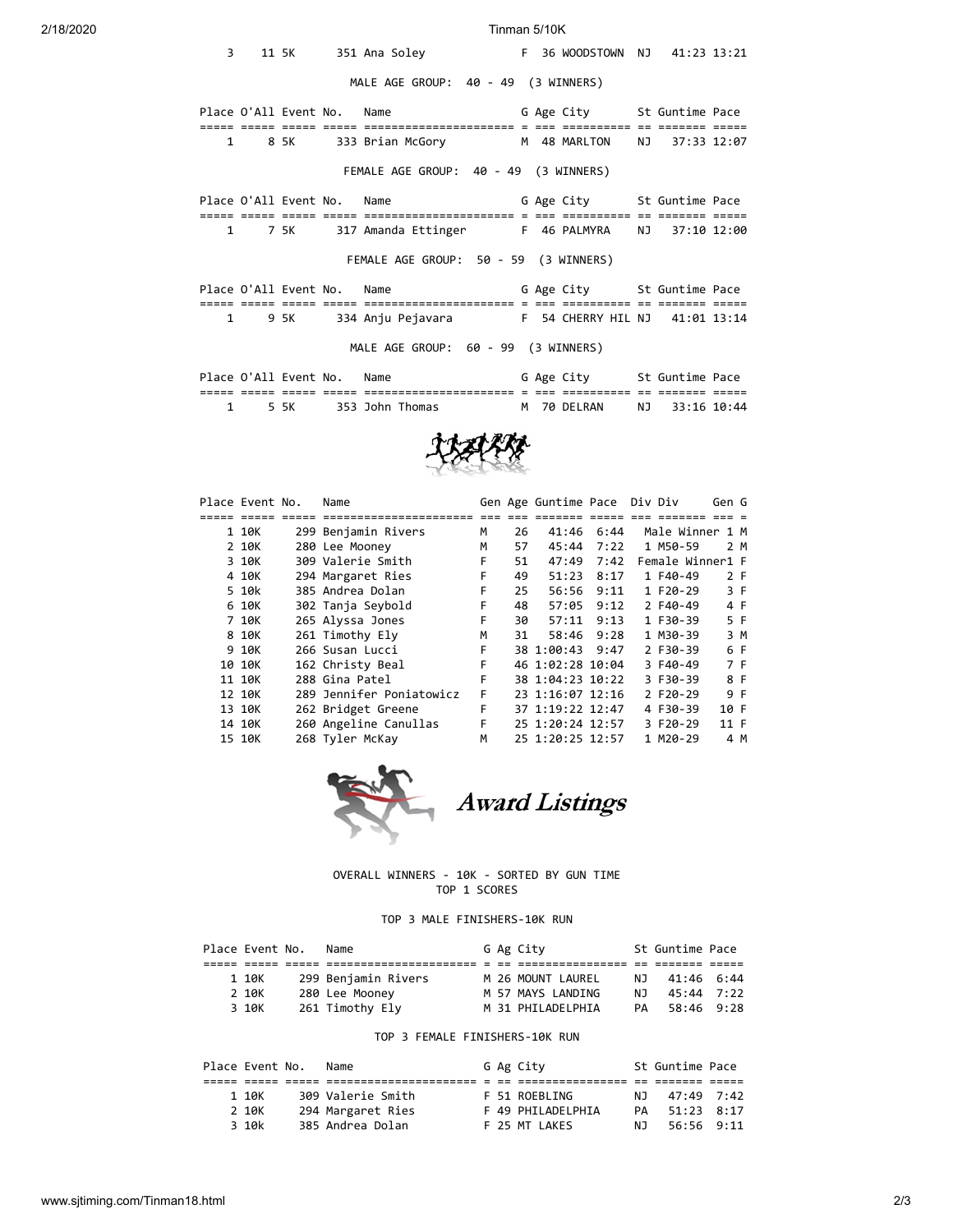### 2/18/2020 Tinman 5/10K

| 3            |        |        | 11 5K 351 Ana Soley F 36 WOODSTOWN NJ 41:23 13:21    |  |                            |                |  |
|--------------|--------|--------|------------------------------------------------------|--|----------------------------|----------------|--|
|              |        |        | MALE AGE GROUP: 40 - 49 (3 WINNERS)                  |  |                            |                |  |
|              |        |        | Place O'All Event No. Name                           |  | G Age City 5t Guntime Pace |                |  |
|              | 1 8 5K |        | 333 Brian McGory M 48 MARLTON NJ 37:33 12:07         |  |                            |                |  |
|              |        |        | FEMALE AGE GROUP: 40 - 49 (3 WINNERS)                |  |                            |                |  |
|              |        |        | Place O'All Event No. Name                           |  | G Age City 5t Guntime Pace |                |  |
|              |        |        |                                                      |  |                            |                |  |
|              | 1 7 5K |        | 317 Amanda Ettinger F 46 PALMYRA NJ 37:10 12:00      |  |                            |                |  |
|              |        |        | FEMALE AGE GROUP: 50 - 59 (3 WINNERS)                |  |                            |                |  |
|              |        |        | Place O'All Event No. Name                           |  | G Age City 5t Guntime Pace |                |  |
|              |        |        |                                                      |  |                            |                |  |
| $\mathbf{1}$ |        | 95K S  | 334 Anju Pejavara 6 6 F 54 CHERRY HIL NJ 41:01 13:14 |  |                            |                |  |
|              |        |        | MALE AGE GROUP: 60 - 99 (3 WINNERS)                  |  |                            |                |  |
|              |        |        | Place O'All Event No. Name                           |  | G Age City 5t Guntime Pace |                |  |
|              |        |        |                                                      |  |                            |                |  |
| 1            |        | 5 SK 1 | 353 John Thomas                                      |  | M 70 DELRAN                | NJ 33:16 10:44 |  |



| Place Event No. | Name                     |   |    | Gen Age Guntime Pace Div Div |      |                  | Gen G |  |
|-----------------|--------------------------|---|----|------------------------------|------|------------------|-------|--|
|                 |                          |   |    |                              |      |                  |       |  |
| 1 10K           | 299 Benjamin Rivers      | М | 26 | 41:46                        | 6:44 | Male Winner 1 M  |       |  |
| 2 10K           | 280 Lee Mooney           | М | 57 | 45:44                        | 7:22 | 1 M50-59         | 2 M   |  |
| 3 10K           | 309 Valerie Smith        | F | 51 | 47:49                        | 7:42 | Female Winner1 F |       |  |
| 4 10K           | 294 Margaret Ries        | F | 49 | 51:23                        | 8:17 | 1 F40-49         | 2 F   |  |
| 5 10k           | 385 Andrea Dolan         | F | 25 | 56:56                        | 9:11 | 1 F20-29         | 3 F   |  |
| 6 10K           | 302 Tanja Seybold        | F | 48 | 57:05                        | 9:12 | 2 F40-49         | 4 F   |  |
| 7 10K           | 265 Alyssa Jones         | F | 30 | 57:11                        | 9:13 | 1 F30-39         | 5 F   |  |
| 8 10K           | 261 Timothy Ely          | м | 31 | 58:46                        | 9:28 | 1 M30-39         | 3 M   |  |
| 9 10K           | 266 Susan Lucci          | F |    | 38 1:00:43                   | 9:47 | 2 F30-39         | 6 F   |  |
| 10 10K          | 162 Christy Beal         | F |    | 46 1:02:28 10:04             |      | 3 F40-49         | 7 F   |  |
| 11 10K          | 288 Gina Patel           | F |    | 38 1:04:23 10:22             |      | 3 F30-39         | 8 F   |  |
| 12 10K          | 289 Jennifer Poniatowicz | F |    | 23 1:16:07 12:16             |      | 2 F20-29         | 9 F   |  |
| 13 10K          | 262 Bridget Greene       | F |    | 37 1:19:22 12:47             |      | 4 F30-39         | 10 F  |  |
| 14 10K          | 260 Angeline Canullas    | F |    | 25 1:20:24 12:57             |      | 3 F20-29         | 11 F  |  |
| 15 10K          | 268 Tyler McKay          | M |    | 25 1:20:25 12:57             |      | 1 M20-29         | 4 M   |  |



Award Listings

# OVERALL WINNERS - 10K - SORTED BY GUN TIME TOP 1 SCORES

# TOP 3 MALE FINISHERS-10K RUN

|  | Place Event No. | Name                |  | G Ag City         |     | St Guntime Pace |  |
|--|-----------------|---------------------|--|-------------------|-----|-----------------|--|
|  |                 |                     |  |                   |     |                 |  |
|  | 1 10K           | 299 Benjamin Rivers |  | M 26 MOUNT LAUREL |     | NJ 41:46 6:44   |  |
|  | 2 10K           | 280 Lee Mooney      |  | M 57 MAYS LANDING | N T | 45:44 7:22      |  |
|  | 3 10K           | 261 Timothy Ely     |  | M 31 PHILADELPHIA |     | PA 58:46 9:28   |  |

# TOP 3 FEMALE FINISHERS-10K RUN

|       | Place Event No. | Name              |  | G Ag City         |     | St Guntime Pace |  |
|-------|-----------------|-------------------|--|-------------------|-----|-----------------|--|
|       |                 |                   |  |                   |     |                 |  |
| 1 10K |                 | 309 Valerie Smith |  | F 51 ROEBLING     | NJ. | 47:49 7:42      |  |
| 2 10K |                 | 294 Margaret Ries |  | F 49 PHILADELPHIA | PA  | $51:23$ $8:17$  |  |
| 3 10k |                 | 385 Andrea Dolan  |  | F 25 MT LAKES     | NJ. | 56:56 9:11      |  |